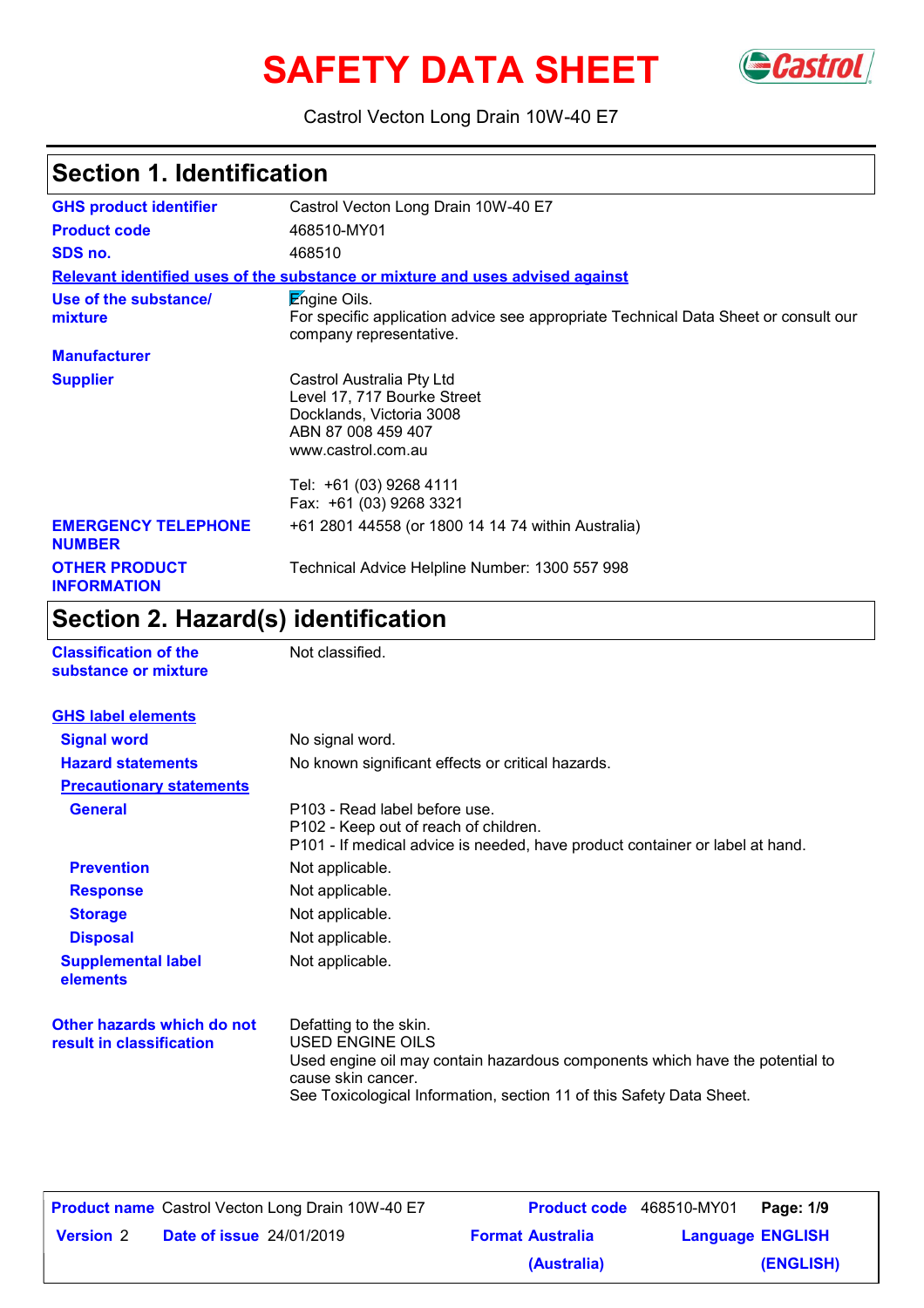# **SAFETY DATA SHEET** Gastrol



Castrol Vecton Long Drain 10W-40 E7

# **Section 1. Identification**

| <b>GHS product identifier</b>               | Castrol Vecton Long Drain 10W-40 E7                                                                                                   |
|---------------------------------------------|---------------------------------------------------------------------------------------------------------------------------------------|
| <b>Product code</b>                         | 468510-MY01                                                                                                                           |
| SDS no.                                     | 468510                                                                                                                                |
|                                             | Relevant identified uses of the substance or mixture and uses advised against                                                         |
| Use of the substance/<br>mixture            | <b>Engine Oils.</b><br>For specific application advice see appropriate Technical Data Sheet or consult our<br>company representative. |
| <b>Manufacturer</b>                         |                                                                                                                                       |
| <b>Supplier</b>                             | Castrol Australia Pty Ltd<br>Level 17, 717 Bourke Street<br>Docklands, Victoria 3008<br>ABN 87 008 459 407<br>www.castrol.com.au      |
|                                             | Tel: +61 (03) 9268 4111<br>Fax: +61 (03) 9268 3321                                                                                    |
| <b>EMERGENCY TELEPHONE</b><br><b>NUMBER</b> | +61 2801 44558 (or 1800 14 14 74 within Australia)                                                                                    |
| <b>OTHER PRODUCT</b><br><b>INFORMATION</b>  | Technical Advice Helpline Number: 1300 557 998                                                                                        |

# **Section 2. Hazard(s) identification**

| <b>Classification of the</b><br>substance or mixture   | Not classified.                                                                                                                                                                                                          |  |
|--------------------------------------------------------|--------------------------------------------------------------------------------------------------------------------------------------------------------------------------------------------------------------------------|--|
| <b>GHS label elements</b>                              |                                                                                                                                                                                                                          |  |
| <b>Signal word</b>                                     | No signal word.                                                                                                                                                                                                          |  |
| <b>Hazard statements</b>                               | No known significant effects or critical hazards.                                                                                                                                                                        |  |
| <b>Precautionary statements</b>                        |                                                                                                                                                                                                                          |  |
| <b>General</b>                                         | P103 - Read label before use.<br>P102 - Keep out of reach of children.<br>P101 - If medical advice is needed, have product container or label at hand.                                                                   |  |
| <b>Prevention</b>                                      | Not applicable.                                                                                                                                                                                                          |  |
| <b>Response</b>                                        | Not applicable.                                                                                                                                                                                                          |  |
| <b>Storage</b>                                         | Not applicable.                                                                                                                                                                                                          |  |
| <b>Disposal</b>                                        | Not applicable.                                                                                                                                                                                                          |  |
| <b>Supplemental label</b><br>elements                  | Not applicable.                                                                                                                                                                                                          |  |
| Other hazards which do not<br>result in classification | Defatting to the skin.<br>USED ENGINE OILS<br>Used engine oil may contain hazardous components which have the potential to<br>cause skin cancer.<br>See Toxicological Information, section 11 of this Safety Data Sheet. |  |

|                  | <b>Product name</b> Castrol Vecton Long Drain 10W-40 E7 |                         | <b>Product code</b> 468510-MY01   Page: 1/9 |           |
|------------------|---------------------------------------------------------|-------------------------|---------------------------------------------|-----------|
| <b>Version 2</b> | <b>Date of issue 24/01/2019</b>                         | <b>Format Australia</b> | <b>Language ENGLISH</b>                     |           |
|                  |                                                         | (Australia)             |                                             | (ENGLISH) |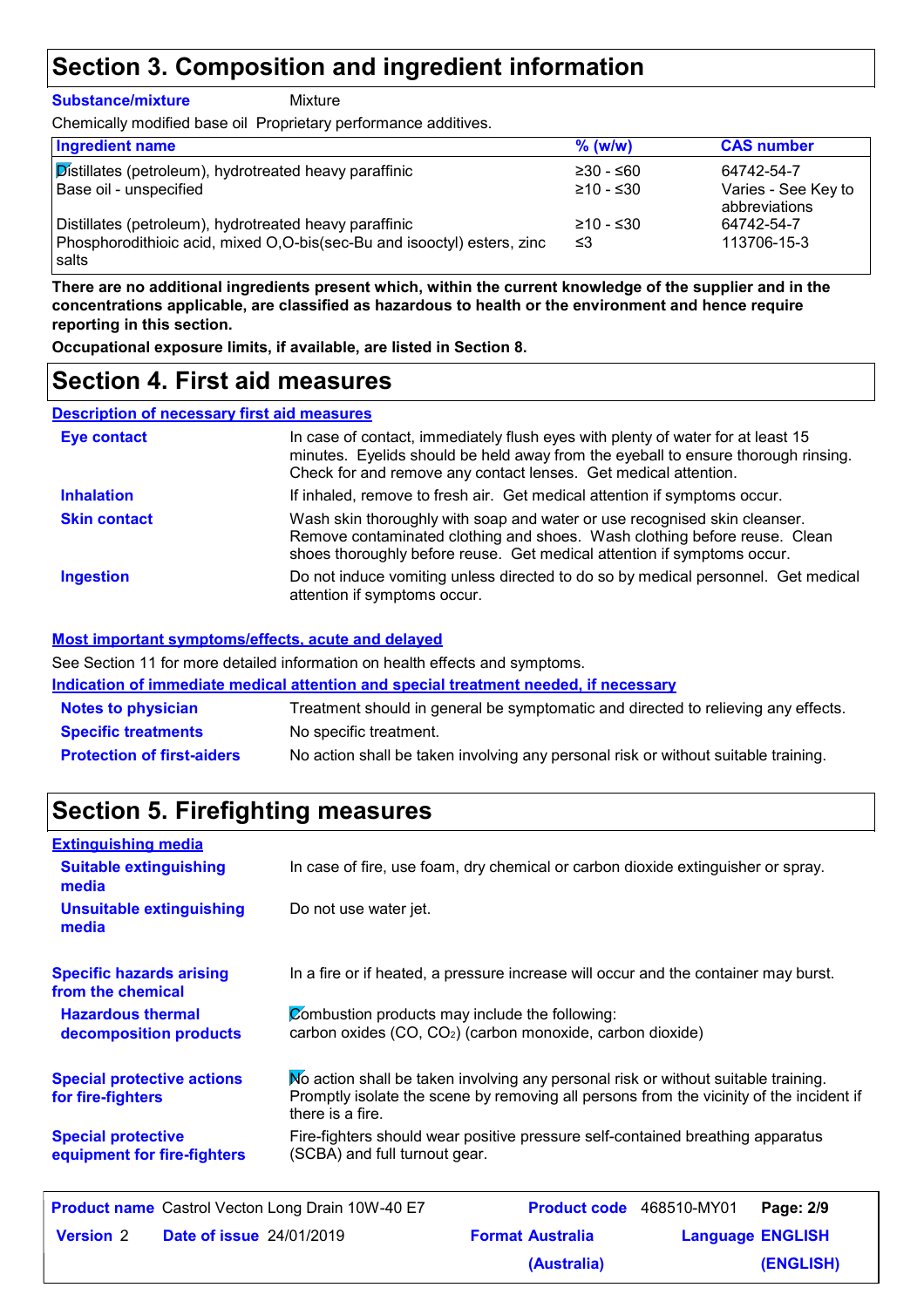## **Section 3. Composition and ingredient information**

**Substance/mixture** Mixture

Chemically modified base oil Proprietary performance additives.

| <b>Ingredient name</b>                                                           | $%$ (w/w)   | <b>CAS number</b>                    |
|----------------------------------------------------------------------------------|-------------|--------------------------------------|
| Distillates (petroleum), hydrotreated heavy paraffinic                           | $≥30 - ≤60$ | 64742-54-7                           |
| Base oil - unspecified                                                           | ≥10 - ≤30   | Varies - See Key to<br>abbreviations |
| Distillates (petroleum), hydrotreated heavy paraffinic                           | $≥10 - ≤30$ | 64742-54-7                           |
| Phosphorodithioic acid, mixed O,O-bis(sec-Bu and isooctyl) esters, zinc<br>salts | ≤3          | 113706-15-3                          |

**There are no additional ingredients present which, within the current knowledge of the supplier and in the concentrations applicable, are classified as hazardous to health or the environment and hence require reporting in this section.**

**Occupational exposure limits, if available, are listed in Section 8.**

### **Section 4. First aid measures**

#### **Description of necessary first aid measures**

| <b>Eye contact</b>  | In case of contact, immediately flush eyes with plenty of water for at least 15<br>minutes. Eyelids should be held away from the eyeball to ensure thorough rinsing.<br>Check for and remove any contact lenses. Get medical attention. |  |
|---------------------|-----------------------------------------------------------------------------------------------------------------------------------------------------------------------------------------------------------------------------------------|--|
| <b>Inhalation</b>   | If inhaled, remove to fresh air. Get medical attention if symptoms occur.                                                                                                                                                               |  |
| <b>Skin contact</b> | Wash skin thoroughly with soap and water or use recognised skin cleanser.<br>Remove contaminated clothing and shoes. Wash clothing before reuse. Clean<br>shoes thoroughly before reuse. Get medical attention if symptoms occur.       |  |
| <b>Ingestion</b>    | Do not induce vomiting unless directed to do so by medical personnel. Get medical<br>attention if symptoms occur.                                                                                                                       |  |

#### **Most important symptoms/effects, acute and delayed**

See Section 11 for more detailed information on health effects and symptoms.

**Indication of immediate medical attention and special treatment needed, if necessary**

| <b>Notes to physician</b>         | Treatment should in general be symptomatic and directed to relieving any effects.  |
|-----------------------------------|------------------------------------------------------------------------------------|
| <b>Specific treatments</b>        | No specific treatment.                                                             |
| <b>Protection of first-aiders</b> | No action shall be taken involving any personal risk or without suitable training. |

## **Section 5. Firefighting measures**

| <b>Extinguishing media</b>                               |                                                                                                                                                                                                   |  |
|----------------------------------------------------------|---------------------------------------------------------------------------------------------------------------------------------------------------------------------------------------------------|--|
| <b>Suitable extinguishing</b><br>media                   | In case of fire, use foam, dry chemical or carbon dioxide extinguisher or spray.                                                                                                                  |  |
| <b>Unsuitable extinguishing</b><br>media                 | Do not use water jet.                                                                                                                                                                             |  |
| <b>Specific hazards arising</b><br>from the chemical     | In a fire or if heated, a pressure increase will occur and the container may burst.                                                                                                               |  |
| <b>Hazardous thermal</b><br>decomposition products       | Combustion products may include the following:<br>carbon oxides (CO, CO <sub>2</sub> ) (carbon monoxide, carbon dioxide)                                                                          |  |
| <b>Special protective actions</b><br>for fire-fighters   | No action shall be taken involving any personal risk or without suitable training.<br>Promptly isolate the scene by removing all persons from the vicinity of the incident if<br>there is a fire. |  |
| <b>Special protective</b><br>equipment for fire-fighters | Fire-fighters should wear positive pressure self-contained breathing apparatus<br>(SCBA) and full turnout gear.                                                                                   |  |
| <b>Droduct name</b> Castrol Voctor Long Drain 10ML40 E7  | <b>Draduct cade</b> 469510 MV01<br>$D22121$                                                                                                                                                       |  |

|                  | <b>Product name</b> Castrol Vecton Long Drain 10W-40 E7 | Product code 468510-MY01 |                         | Page: 2/9 |
|------------------|---------------------------------------------------------|--------------------------|-------------------------|-----------|
| <b>Version 2</b> | <b>Date of issue 24/01/2019</b>                         | <b>Format Australia</b>  | <b>Language ENGLISH</b> |           |
|                  |                                                         | (Australia)              |                         | (ENGLISH) |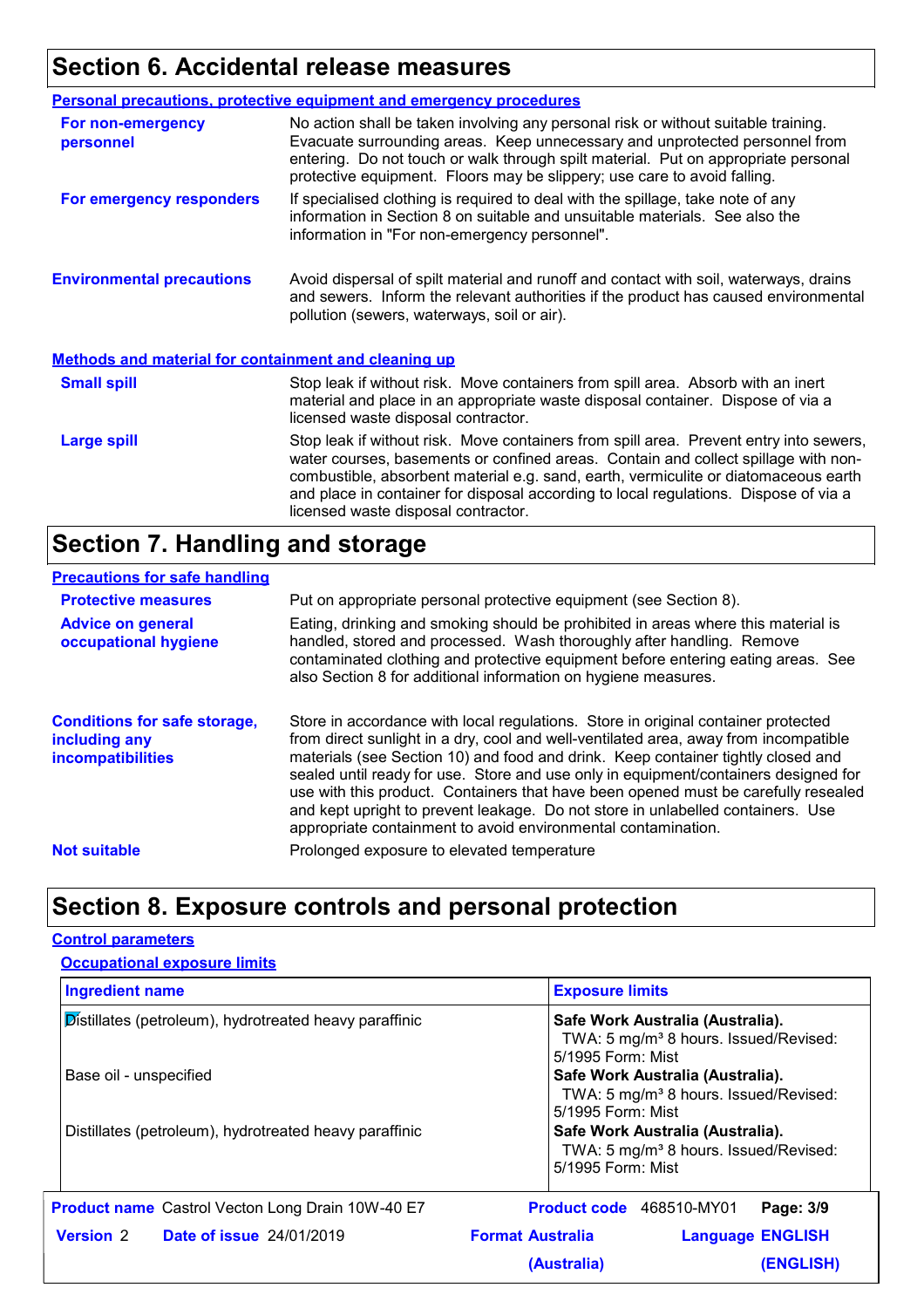## **Section 6. Accidental release measures**

|                                                             | <b>Personal precautions, protective equipment and emergency procedures</b>                                                                                                                                                                                                                                                                                                                         |  |  |
|-------------------------------------------------------------|----------------------------------------------------------------------------------------------------------------------------------------------------------------------------------------------------------------------------------------------------------------------------------------------------------------------------------------------------------------------------------------------------|--|--|
| For non-emergency<br>personnel                              | No action shall be taken involving any personal risk or without suitable training.<br>Evacuate surrounding areas. Keep unnecessary and unprotected personnel from<br>entering. Do not touch or walk through spilt material. Put on appropriate personal<br>protective equipment. Floors may be slippery; use care to avoid falling.                                                                |  |  |
| For emergency responders                                    | If specialised clothing is required to deal with the spillage, take note of any<br>information in Section 8 on suitable and unsuitable materials. See also the<br>information in "For non-emergency personnel".                                                                                                                                                                                    |  |  |
| <b>Environmental precautions</b>                            | Avoid dispersal of spilt material and runoff and contact with soil, waterways, drains<br>and sewers. Inform the relevant authorities if the product has caused environmental<br>pollution (sewers, waterways, soil or air).                                                                                                                                                                        |  |  |
| <b>Methods and material for containment and cleaning up</b> |                                                                                                                                                                                                                                                                                                                                                                                                    |  |  |
| <b>Small spill</b>                                          | Stop leak if without risk. Move containers from spill area. Absorb with an inert<br>material and place in an appropriate waste disposal container. Dispose of via a<br>licensed waste disposal contractor.                                                                                                                                                                                         |  |  |
| <b>Large spill</b>                                          | Stop leak if without risk. Move containers from spill area. Prevent entry into sewers,<br>water courses, basements or confined areas. Contain and collect spillage with non-<br>combustible, absorbent material e.g. sand, earth, vermiculite or diatomaceous earth<br>and place in container for disposal according to local regulations. Dispose of via a<br>licensed waste disposal contractor. |  |  |

## **Section 7. Handling and storage**

#### **Precautions for safe handling**

| <b>Protective measures</b>                                                       | Put on appropriate personal protective equipment (see Section 8).                                                                                                                                                                                                                                                                                                                                                                                                                                                                                                                              |
|----------------------------------------------------------------------------------|------------------------------------------------------------------------------------------------------------------------------------------------------------------------------------------------------------------------------------------------------------------------------------------------------------------------------------------------------------------------------------------------------------------------------------------------------------------------------------------------------------------------------------------------------------------------------------------------|
| <b>Advice on general</b><br>occupational hygiene                                 | Eating, drinking and smoking should be prohibited in areas where this material is<br>handled, stored and processed. Wash thoroughly after handling. Remove<br>contaminated clothing and protective equipment before entering eating areas. See<br>also Section 8 for additional information on hygiene measures.                                                                                                                                                                                                                                                                               |
| <b>Conditions for safe storage,</b><br>including any<br><b>incompatibilities</b> | Store in accordance with local regulations. Store in original container protected<br>from direct sunlight in a dry, cool and well-ventilated area, away from incompatible<br>materials (see Section 10) and food and drink. Keep container tightly closed and<br>sealed until ready for use. Store and use only in equipment/containers designed for<br>use with this product. Containers that have been opened must be carefully resealed<br>and kept upright to prevent leakage. Do not store in unlabelled containers. Use<br>appropriate containment to avoid environmental contamination. |
| <b>Not suitable</b>                                                              | Prolonged exposure to elevated temperature                                                                                                                                                                                                                                                                                                                                                                                                                                                                                                                                                     |

## **Section 8. Exposure controls and personal protection**

|                                                                                  | <b>Occupational exposure limits</b>                     |                                                                                                                                                                                                                          |                                 |                         |
|----------------------------------------------------------------------------------|---------------------------------------------------------|--------------------------------------------------------------------------------------------------------------------------------------------------------------------------------------------------------------------------|---------------------------------|-------------------------|
| <b>Ingredient name</b>                                                           |                                                         | <b>Exposure limits</b>                                                                                                                                                                                                   |                                 |                         |
| Distillates (petroleum), hydrotreated heavy paraffinic<br>Base oil - unspecified |                                                         | Safe Work Australia (Australia).<br>TWA: 5 mg/m <sup>3</sup> 8 hours. Issued/Revised:<br>5/1995 Form: Mist<br>Safe Work Australia (Australia).<br>TWA: 5 mg/m <sup>3</sup> 8 hours. Issued/Revised:<br>5/1995 Form: Mist |                                 |                         |
|                                                                                  |                                                         |                                                                                                                                                                                                                          |                                 |                         |
|                                                                                  | <b>Product name</b> Castrol Vecton Long Drain 10W-40 E7 |                                                                                                                                                                                                                          | <b>Product code</b> 468510-MY01 | Page: 3/9               |
|                                                                                  | <b>Version 2 Date of issue 24/01/2019</b>               | <b>Format Australia</b>                                                                                                                                                                                                  |                                 | <b>Language ENGLISH</b> |
|                                                                                  |                                                         | (Australia)                                                                                                                                                                                                              |                                 | (ENGLISH)               |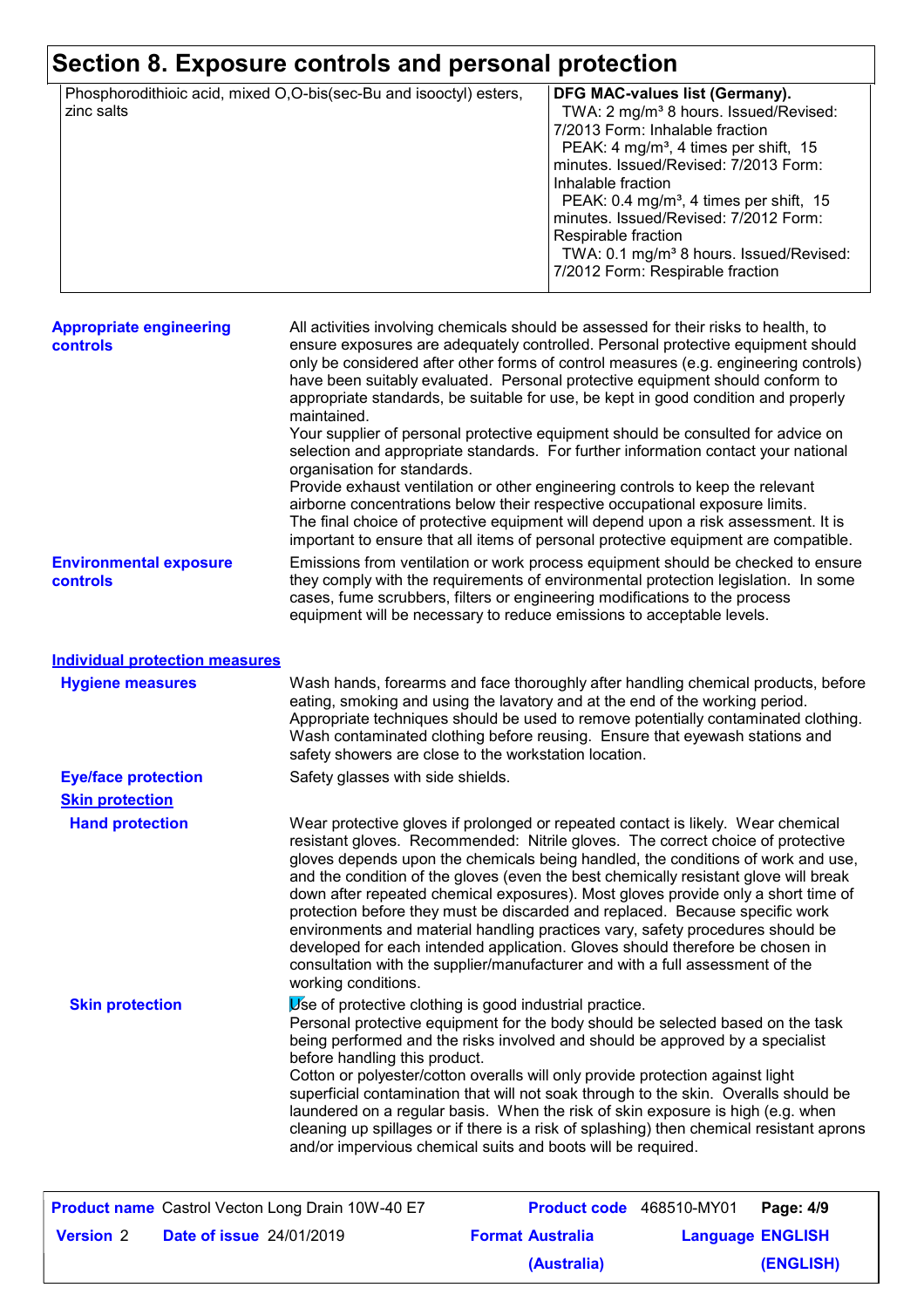# **Section 8. Exposure controls and personal protection**

| Phosphorodithioic acid, mixed O,O-bis(sec-Bu and isooctyl) esters,<br>zinc salts | DFG MAC-values list (Germany).<br>TWA: 2 mg/m <sup>3</sup> 8 hours. Issued/Revised:<br>7/2013 Form: Inhalable fraction<br>PEAK: 4 mg/m <sup>3</sup> , 4 times per shift, 15<br>minutes. Issued/Revised: 7/2013 Form:<br>Inhalable fraction<br>PEAK: $0.4 \text{ mg/m}^3$ , 4 times per shift, 15<br>minutes. Issued/Revised: 7/2012 Form:<br>Respirable fraction |
|----------------------------------------------------------------------------------|------------------------------------------------------------------------------------------------------------------------------------------------------------------------------------------------------------------------------------------------------------------------------------------------------------------------------------------------------------------|
|                                                                                  | TWA: 0.1 mg/m <sup>3</sup> 8 hours. Issued/Revised:<br>7/2012 Form: Respirable fraction                                                                                                                                                                                                                                                                          |

| <b>Appropriate engineering</b><br><b>controls</b> | All activities involving chemicals should be assessed for their risks to health, to<br>ensure exposures are adequately controlled. Personal protective equipment should<br>only be considered after other forms of control measures (e.g. engineering controls)<br>have been suitably evaluated. Personal protective equipment should conform to<br>appropriate standards, be suitable for use, be kept in good condition and properly<br>maintained.<br>Your supplier of personal protective equipment should be consulted for advice on<br>selection and appropriate standards. For further information contact your national<br>organisation for standards.<br>Provide exhaust ventilation or other engineering controls to keep the relevant<br>airborne concentrations below their respective occupational exposure limits. |  |  |
|---------------------------------------------------|----------------------------------------------------------------------------------------------------------------------------------------------------------------------------------------------------------------------------------------------------------------------------------------------------------------------------------------------------------------------------------------------------------------------------------------------------------------------------------------------------------------------------------------------------------------------------------------------------------------------------------------------------------------------------------------------------------------------------------------------------------------------------------------------------------------------------------|--|--|
|                                                   | The final choice of protective equipment will depend upon a risk assessment. It is<br>important to ensure that all items of personal protective equipment are compatible.                                                                                                                                                                                                                                                                                                                                                                                                                                                                                                                                                                                                                                                        |  |  |
| <b>Environmental exposure</b><br><b>controls</b>  | Emissions from ventilation or work process equipment should be checked to ensure<br>they comply with the requirements of environmental protection legislation. In some<br>cases, fume scrubbers, filters or engineering modifications to the process<br>equipment will be necessary to reduce emissions to acceptable levels.                                                                                                                                                                                                                                                                                                                                                                                                                                                                                                    |  |  |

| <b>Individual protection measures</b>                   |                                                                                                                                                                                                                                                                                                                                                                                                                                                                                                                                                                                                                                                                                                                                                                                                 |  |  |
|---------------------------------------------------------|-------------------------------------------------------------------------------------------------------------------------------------------------------------------------------------------------------------------------------------------------------------------------------------------------------------------------------------------------------------------------------------------------------------------------------------------------------------------------------------------------------------------------------------------------------------------------------------------------------------------------------------------------------------------------------------------------------------------------------------------------------------------------------------------------|--|--|
| <b>Hygiene measures</b>                                 | Wash hands, forearms and face thoroughly after handling chemical products, before<br>eating, smoking and using the lavatory and at the end of the working period.<br>Appropriate techniques should be used to remove potentially contaminated clothing.<br>Wash contaminated clothing before reusing. Ensure that eyewash stations and<br>safety showers are close to the workstation location.                                                                                                                                                                                                                                                                                                                                                                                                 |  |  |
| <b>Eye/face protection</b>                              | Safety glasses with side shields.                                                                                                                                                                                                                                                                                                                                                                                                                                                                                                                                                                                                                                                                                                                                                               |  |  |
| <b>Skin protection</b>                                  |                                                                                                                                                                                                                                                                                                                                                                                                                                                                                                                                                                                                                                                                                                                                                                                                 |  |  |
| <b>Hand protection</b>                                  | Wear protective gloves if prolonged or repeated contact is likely. Wear chemical<br>resistant gloves. Recommended: Nitrile gloves. The correct choice of protective<br>gloves depends upon the chemicals being handled, the conditions of work and use,<br>and the condition of the gloves (even the best chemically resistant glove will break<br>down after repeated chemical exposures). Most gloves provide only a short time of<br>protection before they must be discarded and replaced. Because specific work<br>environments and material handling practices vary, safety procedures should be<br>developed for each intended application. Gloves should therefore be chosen in<br>consultation with the supplier/manufacturer and with a full assessment of the<br>working conditions. |  |  |
| <b>Skin protection</b>                                  | Use of protective clothing is good industrial practice.<br>Personal protective equipment for the body should be selected based on the task<br>being performed and the risks involved and should be approved by a specialist<br>before handling this product.<br>Cotton or polyester/cotton overalls will only provide protection against light<br>superficial contamination that will not soak through to the skin. Overalls should be<br>laundered on a regular basis. When the risk of skin exposure is high (e.g. when<br>cleaning up spillages or if there is a risk of splashing) then chemical resistant aprons<br>and/or impervious chemical suits and boots will be required.                                                                                                           |  |  |
| <b>Product name</b> Castrol Vecton Long Drain 10W-40 E7 | Product code 468510-MY01<br>Page: 4/9                                                                                                                                                                                                                                                                                                                                                                                                                                                                                                                                                                                                                                                                                                                                                           |  |  |

|                  |                                 | <b>Product name</b> Castrol Vecton Long Drain 10W-40 E7 |                         | <b>Product code</b> 468510-MY01   Page: 4/9 |           |
|------------------|---------------------------------|---------------------------------------------------------|-------------------------|---------------------------------------------|-----------|
| <b>Version 2</b> | <b>Date of issue 24/01/2019</b> |                                                         | <b>Format Australia</b> | <b>Language ENGLISH</b>                     |           |
|                  |                                 |                                                         | (Australia)             |                                             | (ENGLISH) |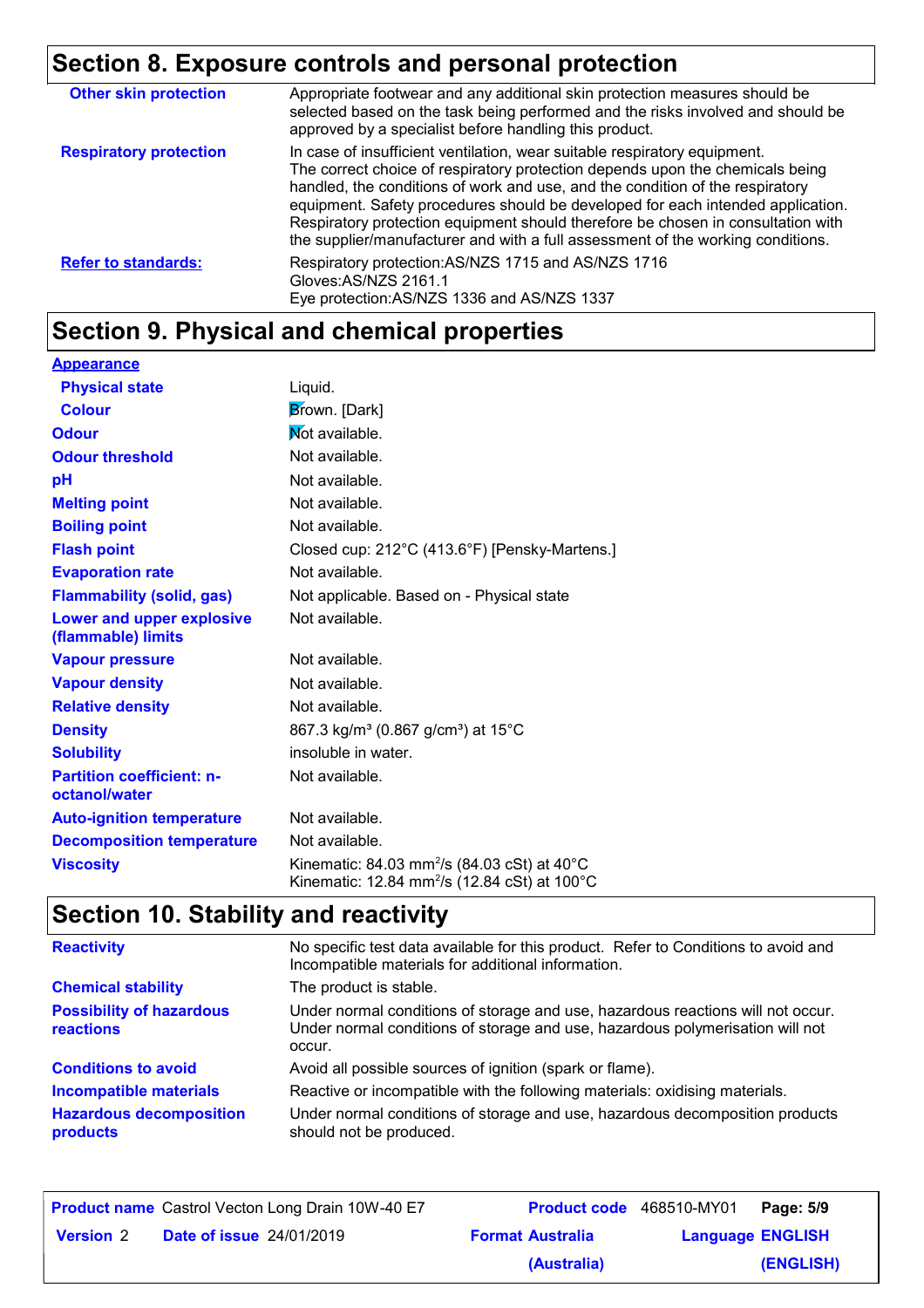# **Section 8. Exposure controls and personal protection**

| <b>Other skin protection</b>  | Appropriate footwear and any additional skin protection measures should be<br>selected based on the task being performed and the risks involved and should be<br>approved by a specialist before handling this product.                                                                                                                                                                                                                                                                               |
|-------------------------------|-------------------------------------------------------------------------------------------------------------------------------------------------------------------------------------------------------------------------------------------------------------------------------------------------------------------------------------------------------------------------------------------------------------------------------------------------------------------------------------------------------|
| <b>Respiratory protection</b> | In case of insufficient ventilation, wear suitable respiratory equipment.<br>The correct choice of respiratory protection depends upon the chemicals being<br>handled, the conditions of work and use, and the condition of the respiratory<br>equipment. Safety procedures should be developed for each intended application.<br>Respiratory protection equipment should therefore be chosen in consultation with<br>the supplier/manufacturer and with a full assessment of the working conditions. |
| <b>Refer to standards:</b>    | Respiratory protection: AS/NZS 1715 and AS/NZS 1716<br>Gloves: AS/NZS 2161.1<br>Eye protection: AS/NZS 1336 and AS/NZS 1337                                                                                                                                                                                                                                                                                                                                                                           |

# **Section 9. Physical and chemical properties**

| <b>Appearance</b>                                 |                                                                                                                                          |
|---------------------------------------------------|------------------------------------------------------------------------------------------------------------------------------------------|
| <b>Physical state</b>                             | Liquid.                                                                                                                                  |
| <b>Colour</b>                                     | Brown. [Dark]                                                                                                                            |
| <b>Odour</b>                                      | Not available.                                                                                                                           |
| <b>Odour threshold</b>                            | Not available.                                                                                                                           |
| рH                                                | Not available.                                                                                                                           |
| <b>Melting point</b>                              | Not available.                                                                                                                           |
| <b>Boiling point</b>                              | Not available.                                                                                                                           |
| <b>Flash point</b>                                | Closed cup: 212°C (413.6°F) [Pensky-Martens.]                                                                                            |
| <b>Evaporation rate</b>                           | Not available.                                                                                                                           |
| <b>Flammability (solid, gas)</b>                  | Not applicable. Based on - Physical state                                                                                                |
| Lower and upper explosive<br>(flammable) limits   | Not available.                                                                                                                           |
| <b>Vapour pressure</b>                            | Not available.                                                                                                                           |
| <b>Vapour density</b>                             | Not available.                                                                                                                           |
| <b>Relative density</b>                           | Not available.                                                                                                                           |
| <b>Density</b>                                    | 867.3 kg/m <sup>3</sup> (0.867 g/cm <sup>3</sup> ) at 15°C                                                                               |
| <b>Solubility</b>                                 | insoluble in water.                                                                                                                      |
| <b>Partition coefficient: n-</b><br>octanol/water | Not available.                                                                                                                           |
| <b>Auto-ignition temperature</b>                  | Not available.                                                                                                                           |
| <b>Decomposition temperature</b>                  | Not available.                                                                                                                           |
| <b>Viscosity</b>                                  | Kinematic: 84.03 mm <sup>2</sup> /s (84.03 cSt) at $40^{\circ}$ C<br>Kinematic: 12.84 mm <sup>2</sup> /s (12.84 cSt) at 100 $^{\circ}$ C |

# **Section 10. Stability and reactivity**

| <b>Reactivity</b>                                   | No specific test data available for this product. Refer to Conditions to avoid and<br>Incompatible materials for additional information.                                   |  |  |
|-----------------------------------------------------|----------------------------------------------------------------------------------------------------------------------------------------------------------------------------|--|--|
| <b>Chemical stability</b>                           | The product is stable.                                                                                                                                                     |  |  |
| <b>Possibility of hazardous</b><br><b>reactions</b> | Under normal conditions of storage and use, hazardous reactions will not occur.<br>Under normal conditions of storage and use, hazardous polymerisation will not<br>occur. |  |  |
| <b>Conditions to avoid</b>                          | Avoid all possible sources of ignition (spark or flame).                                                                                                                   |  |  |
| <b>Incompatible materials</b>                       | Reactive or incompatible with the following materials: oxidising materials.                                                                                                |  |  |
| <b>Hazardous decomposition</b><br>products          | Under normal conditions of storage and use, hazardous decomposition products<br>should not be produced.                                                                    |  |  |

|                  |                                 | <b>Product name</b> Castrol Vecton Long Drain 10W-40 E7 | Product code 468510-MY01 |                         | Page: 5/9 |
|------------------|---------------------------------|---------------------------------------------------------|--------------------------|-------------------------|-----------|
| <b>Version 2</b> | <b>Date of issue 24/01/2019</b> |                                                         | <b>Format Australia</b>  | <b>Language ENGLISH</b> |           |
|                  |                                 |                                                         | (Australia)              |                         | (ENGLISH) |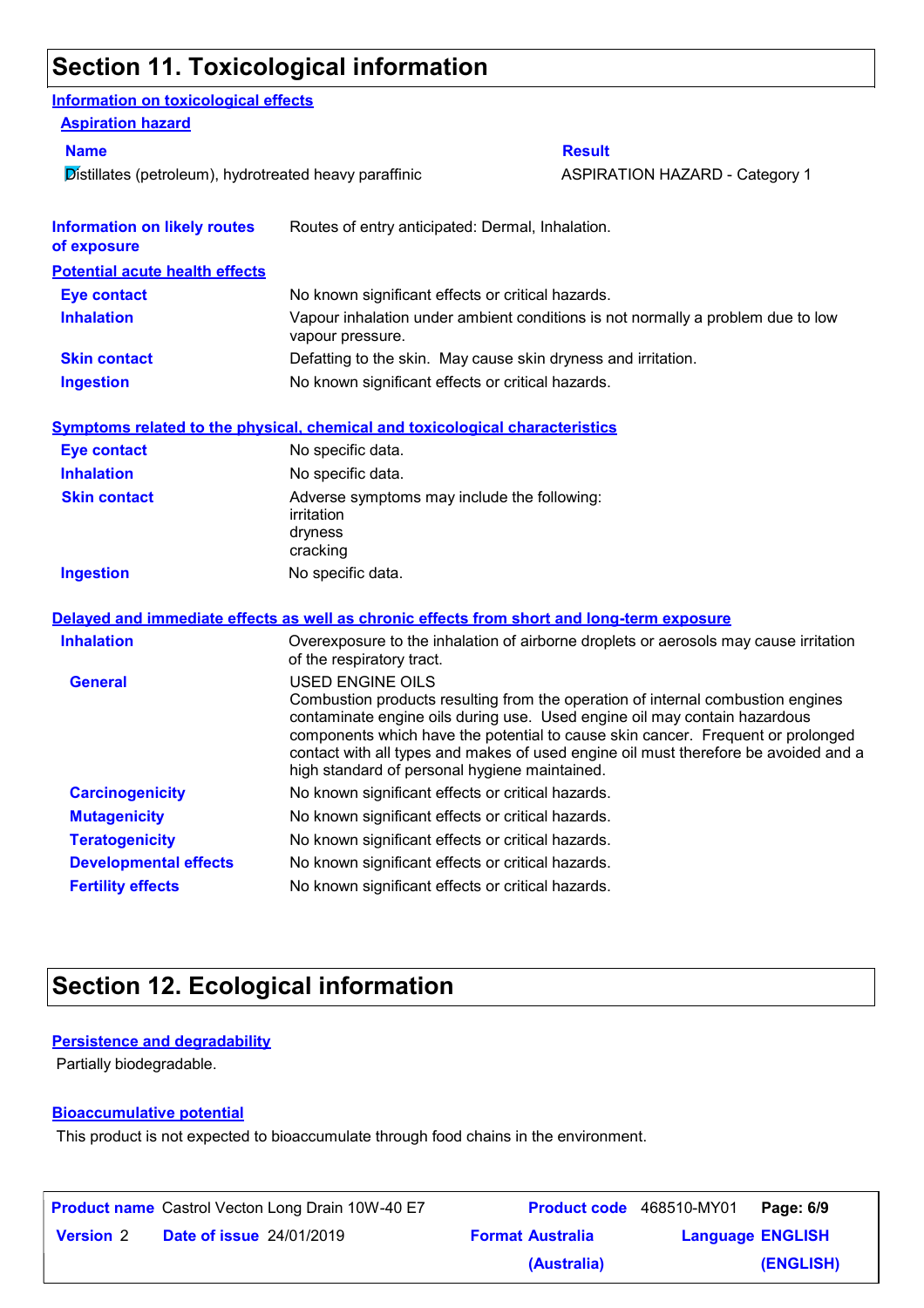#### **Section 11. Toxicological information**

| Information on toxicological effects                   |                                                                                     |                                                                                                                                                                                                                                                                                                                                        |  |
|--------------------------------------------------------|-------------------------------------------------------------------------------------|----------------------------------------------------------------------------------------------------------------------------------------------------------------------------------------------------------------------------------------------------------------------------------------------------------------------------------------|--|
| <b>Aspiration hazard</b>                               |                                                                                     |                                                                                                                                                                                                                                                                                                                                        |  |
| <b>Name</b>                                            |                                                                                     | <b>Result</b>                                                                                                                                                                                                                                                                                                                          |  |
| Distillates (petroleum), hydrotreated heavy paraffinic |                                                                                     | <b>ASPIRATION HAZARD - Category 1</b>                                                                                                                                                                                                                                                                                                  |  |
| <b>Information on likely routes</b><br>of exposure     | Routes of entry anticipated: Dermal, Inhalation.                                    |                                                                                                                                                                                                                                                                                                                                        |  |
| <b>Potential acute health effects</b>                  |                                                                                     |                                                                                                                                                                                                                                                                                                                                        |  |
| <b>Eye contact</b>                                     | No known significant effects or critical hazards.                                   |                                                                                                                                                                                                                                                                                                                                        |  |
| <b>Inhalation</b>                                      | vapour pressure.                                                                    | Vapour inhalation under ambient conditions is not normally a problem due to low                                                                                                                                                                                                                                                        |  |
| <b>Skin contact</b>                                    | Defatting to the skin. May cause skin dryness and irritation.                       |                                                                                                                                                                                                                                                                                                                                        |  |
| <b>Ingestion</b>                                       | No known significant effects or critical hazards.                                   |                                                                                                                                                                                                                                                                                                                                        |  |
|                                                        | <b>Symptoms related to the physical, chemical and toxicological characteristics</b> |                                                                                                                                                                                                                                                                                                                                        |  |
| <b>Eye contact</b>                                     | No specific data.                                                                   |                                                                                                                                                                                                                                                                                                                                        |  |
| <b>Inhalation</b>                                      | No specific data.                                                                   |                                                                                                                                                                                                                                                                                                                                        |  |
| <b>Skin contact</b>                                    | Adverse symptoms may include the following:<br>irritation<br>dryness<br>cracking    |                                                                                                                                                                                                                                                                                                                                        |  |
| <b>Ingestion</b>                                       | No specific data.                                                                   |                                                                                                                                                                                                                                                                                                                                        |  |
|                                                        |                                                                                     | Delayed and immediate effects as well as chronic effects from short and long-term exposure                                                                                                                                                                                                                                             |  |
| <b>Inhalation</b>                                      | of the respiratory tract.                                                           | Overexposure to the inhalation of airborne droplets or aerosols may cause irritation                                                                                                                                                                                                                                                   |  |
| <b>General</b>                                         | <b>USED ENGINE OILS</b><br>high standard of personal hygiene maintained.            | Combustion products resulting from the operation of internal combustion engines<br>contaminate engine oils during use. Used engine oil may contain hazardous<br>components which have the potential to cause skin cancer. Frequent or prolonged<br>contact with all types and makes of used engine oil must therefore be avoided and a |  |
| <b>Carcinogenicity</b>                                 | No known significant effects or critical hazards.                                   |                                                                                                                                                                                                                                                                                                                                        |  |
| <b>Mutagenicity</b>                                    | No known significant effects or critical hazards.                                   |                                                                                                                                                                                                                                                                                                                                        |  |
| <b>Teratogenicity</b>                                  | No known significant effects or critical hazards.                                   |                                                                                                                                                                                                                                                                                                                                        |  |
| <b>Developmental effects</b>                           | No known significant effects or critical hazards.                                   |                                                                                                                                                                                                                                                                                                                                        |  |
| <b>Fertility effects</b>                               | No known significant effects or critical hazards.                                   |                                                                                                                                                                                                                                                                                                                                        |  |

## **Section 12. Ecological information**

#### **Persistence and degradability**

Partially biodegradable.

#### **Bioaccumulative potential**

This product is not expected to bioaccumulate through food chains in the environment.

|                  | <b>Product name</b> Castrol Vecton Long Drain 10W-40 E7 | Product code 468510-MY01 |                         | Page: 6/9 |
|------------------|---------------------------------------------------------|--------------------------|-------------------------|-----------|
| <b>Version 2</b> | <b>Date of issue 24/01/2019</b>                         | <b>Format Australia</b>  | <b>Language ENGLISH</b> |           |
|                  |                                                         | (Australia)              |                         | (ENGLISH) |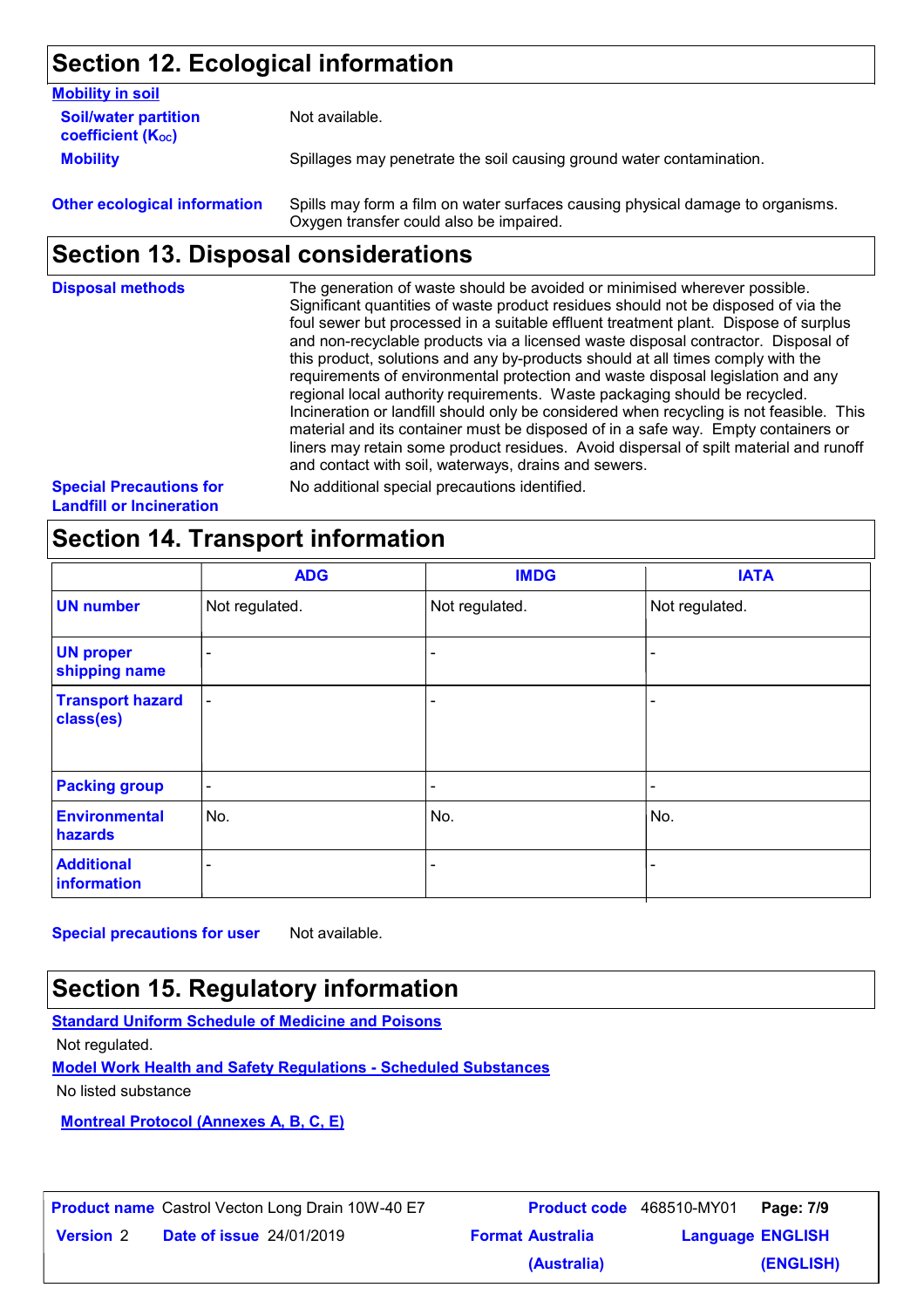## **Section 12. Ecological information**

| <b>Mobility in soil</b>                                       |                                                                      |
|---------------------------------------------------------------|----------------------------------------------------------------------|
| <b>Soil/water partition</b><br>coefficient (K <sub>oc</sub> ) | Not available.                                                       |
| <b>Mobility</b>                                               | Spillages may penetrate the soil causing ground water contamination. |
|                                                               |                                                                      |

**Other ecological information** Spills may form a film on water surfaces causing physical damage to organisms. Oxygen transfer could also be impaired.

## **Section 13. Disposal considerations**

| <b>Disposal methods</b>        | The generation of waste should be avoided or minimised wherever possible.<br>Significant quantities of waste product residues should not be disposed of via the<br>foul sewer but processed in a suitable effluent treatment plant. Dispose of surplus<br>and non-recyclable products via a licensed waste disposal contractor. Disposal of<br>this product, solutions and any by-products should at all times comply with the<br>requirements of environmental protection and waste disposal legislation and any<br>regional local authority requirements. Waste packaging should be recycled.<br>Incineration or landfill should only be considered when recycling is not feasible. This<br>material and its container must be disposed of in a safe way. Empty containers or<br>liners may retain some product residues. Avoid dispersal of spilt material and runoff<br>and contact with soil, waterways, drains and sewers. |
|--------------------------------|----------------------------------------------------------------------------------------------------------------------------------------------------------------------------------------------------------------------------------------------------------------------------------------------------------------------------------------------------------------------------------------------------------------------------------------------------------------------------------------------------------------------------------------------------------------------------------------------------------------------------------------------------------------------------------------------------------------------------------------------------------------------------------------------------------------------------------------------------------------------------------------------------------------------------------|
| <b>Special Precautions for</b> | No additional special precautions identified.                                                                                                                                                                                                                                                                                                                                                                                                                                                                                                                                                                                                                                                                                                                                                                                                                                                                                    |

**Landfill or Incineration**

## **Section 14. Transport information**

|                                      | <b>ADG</b>                   | <b>IMDG</b>              | <b>IATA</b>    |
|--------------------------------------|------------------------------|--------------------------|----------------|
| <b>UN number</b>                     | Not regulated.               | Not regulated.           | Not regulated. |
| <b>UN proper</b><br>shipping name    | $\overline{\phantom{a}}$     |                          |                |
| <b>Transport hazard</b><br>class(es) | $\overline{\phantom{a}}$     | $\overline{\phantom{0}}$ | -              |
| <b>Packing group</b>                 | $\overline{\phantom{a}}$     | $\overline{\phantom{a}}$ | -              |
| <b>Environmental</b><br>hazards      | No.                          | No.                      | No.            |
| <b>Additional</b><br>information     | $\qquad \qquad \blacksquare$ | $\overline{\phantom{0}}$ |                |

**Special precautions for user** Not available.

## **Section 15. Regulatory information**

**Standard Uniform Schedule of Medicine and Poisons**

Not regulated.

**Model Work Health and Safety Regulations - Scheduled Substances**

No listed substance

**Montreal Protocol (Annexes A, B, C, E)**

|                  |                                 | <b>Product name</b> Castrol Vecton Long Drain 10W-40 E7 |                         | <b>Product code</b> 468510-MY01 <b>Page: 7/9</b> |           |
|------------------|---------------------------------|---------------------------------------------------------|-------------------------|--------------------------------------------------|-----------|
| <b>Version 2</b> | <b>Date of issue 24/01/2019</b> |                                                         | <b>Format Australia</b> | <b>Language ENGLISH</b>                          |           |
|                  |                                 |                                                         | (Australia)             |                                                  | (ENGLISH) |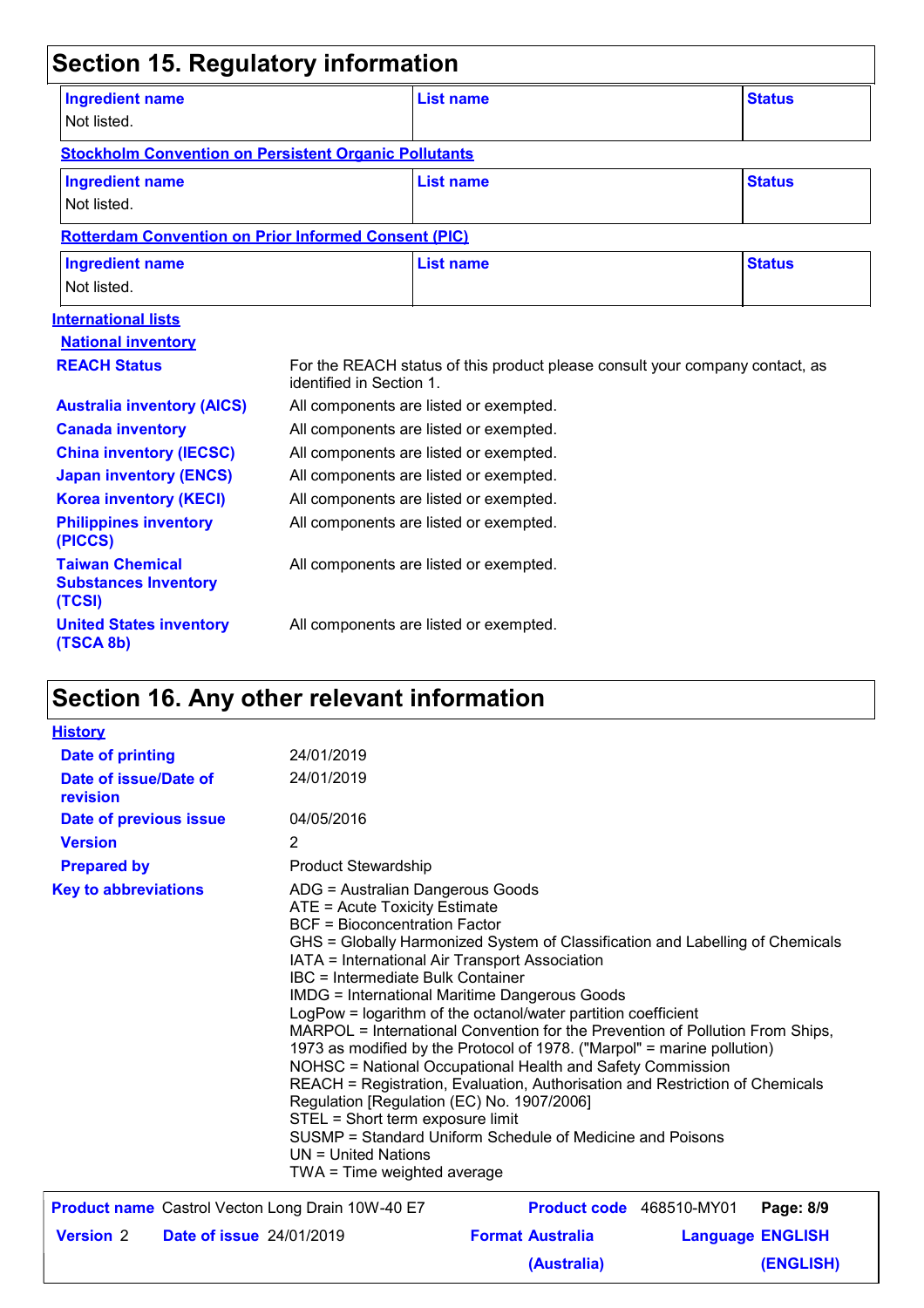| <b>Section 15. Regulatory information</b>                       |                                        |                                                                              |               |  |  |  |
|-----------------------------------------------------------------|----------------------------------------|------------------------------------------------------------------------------|---------------|--|--|--|
| <b>Ingredient name</b><br>Not listed.                           |                                        | List name                                                                    | <b>Status</b> |  |  |  |
| <b>Stockholm Convention on Persistent Organic Pollutants</b>    |                                        |                                                                              |               |  |  |  |
| <b>Ingredient name</b><br>Not listed.                           |                                        | <b>List name</b>                                                             | <b>Status</b> |  |  |  |
| <b>Rotterdam Convention on Prior Informed Consent (PIC)</b>     |                                        |                                                                              |               |  |  |  |
| <b>Ingredient name</b><br>Not listed.                           |                                        | List name                                                                    | <b>Status</b> |  |  |  |
| <b>International lists</b>                                      |                                        |                                                                              |               |  |  |  |
| <b>National inventory</b>                                       |                                        |                                                                              |               |  |  |  |
| <b>REACH Status</b><br>identified in Section 1.                 |                                        | For the REACH status of this product please consult your company contact, as |               |  |  |  |
| <b>Australia inventory (AICS)</b>                               |                                        | All components are listed or exempted.                                       |               |  |  |  |
| <b>Canada inventory</b>                                         |                                        | All components are listed or exempted.                                       |               |  |  |  |
| <b>China inventory (IECSC)</b>                                  |                                        | All components are listed or exempted.                                       |               |  |  |  |
| <b>Japan inventory (ENCS)</b>                                   |                                        | All components are listed or exempted.                                       |               |  |  |  |
| <b>Korea inventory (KECI)</b>                                   |                                        | All components are listed or exempted.                                       |               |  |  |  |
| <b>Philippines inventory</b><br>(PICCS)                         |                                        | All components are listed or exempted.                                       |               |  |  |  |
| <b>Taiwan Chemical</b><br><b>Substances Inventory</b><br>(TCSI) | All components are listed or exempted. |                                                                              |               |  |  |  |
| <b>United States inventory</b><br>(TSCA 8b)                     |                                        | All components are listed or exempted.                                       |               |  |  |  |

# **Section 16. Any other relevant information**

| <b>History</b>                                          |                                 |                                                                                                                                                                                                                                                                                                                                                                                                                                                                                                                                                                                                                                                                                                                                                                                                                                                                                                    |                         |                  |
|---------------------------------------------------------|---------------------------------|----------------------------------------------------------------------------------------------------------------------------------------------------------------------------------------------------------------------------------------------------------------------------------------------------------------------------------------------------------------------------------------------------------------------------------------------------------------------------------------------------------------------------------------------------------------------------------------------------------------------------------------------------------------------------------------------------------------------------------------------------------------------------------------------------------------------------------------------------------------------------------------------------|-------------------------|------------------|
| <b>Date of printing</b>                                 | 24/01/2019                      |                                                                                                                                                                                                                                                                                                                                                                                                                                                                                                                                                                                                                                                                                                                                                                                                                                                                                                    |                         |                  |
| Date of issue/Date of<br>revision                       | 24/01/2019                      |                                                                                                                                                                                                                                                                                                                                                                                                                                                                                                                                                                                                                                                                                                                                                                                                                                                                                                    |                         |                  |
| Date of previous issue                                  | 04/05/2016                      |                                                                                                                                                                                                                                                                                                                                                                                                                                                                                                                                                                                                                                                                                                                                                                                                                                                                                                    |                         |                  |
| <b>Version</b>                                          | 2                               |                                                                                                                                                                                                                                                                                                                                                                                                                                                                                                                                                                                                                                                                                                                                                                                                                                                                                                    |                         |                  |
| <b>Prepared by</b>                                      | <b>Product Stewardship</b>      |                                                                                                                                                                                                                                                                                                                                                                                                                                                                                                                                                                                                                                                                                                                                                                                                                                                                                                    |                         |                  |
| <b>Key to abbreviations</b>                             | $UN = United Nations$           | ADG = Australian Dangerous Goods<br>ATE = Acute Toxicity Estimate<br><b>BCF</b> = Bioconcentration Factor<br>GHS = Globally Harmonized System of Classification and Labelling of Chemicals<br>IATA = International Air Transport Association<br>IBC = Intermediate Bulk Container<br><b>IMDG = International Maritime Dangerous Goods</b><br>LogPow = logarithm of the octanol/water partition coefficient<br>MARPOL = International Convention for the Prevention of Pollution From Ships,<br>1973 as modified by the Protocol of 1978. ("Marpol" = marine pollution)<br>NOHSC = National Occupational Health and Safety Commission<br>REACH = Registration, Evaluation, Authorisation and Restriction of Chemicals<br>Regulation [Regulation (EC) No. 1907/2006]<br>STEL = Short term exposure limit<br>SUSMP = Standard Uniform Schedule of Medicine and Poisons<br>TWA = Time weighted average |                         |                  |
| <b>Product name</b> Castrol Vecton Long Drain 10W-40 E7 |                                 | <b>Product code</b> 468510-MY01                                                                                                                                                                                                                                                                                                                                                                                                                                                                                                                                                                                                                                                                                                                                                                                                                                                                    |                         | Page: 8/9        |
| <b>Version 2</b>                                        | <b>Date of issue 24/01/2019</b> | <b>Format Australia</b>                                                                                                                                                                                                                                                                                                                                                                                                                                                                                                                                                                                                                                                                                                                                                                                                                                                                            | <b>Language ENGLISH</b> |                  |
|                                                         |                                 | (Australia)                                                                                                                                                                                                                                                                                                                                                                                                                                                                                                                                                                                                                                                                                                                                                                                                                                                                                        |                         | <b>(ENGLISH)</b> |